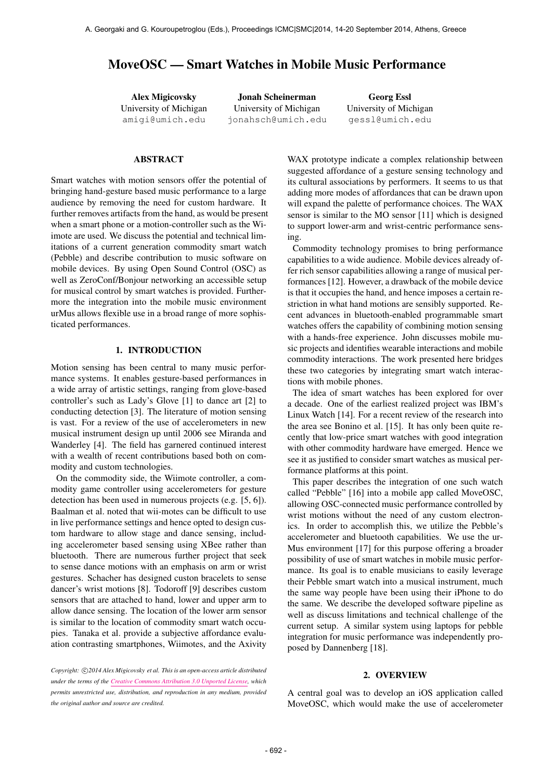# MoveOSC — Smart Watches in Mobile Music Performance

Alex Migicovsky University of Michigan [amigi@umich.edu](mailto:amigi@umich.edu)

Jonah Scheinerman University of Michigan [jonahsch@umich.edu](mailto:jonahsch@umich.edu)

Georg Essl University of Michigan [gessl@umich.edu](mailto:gessl@umich.edu)

# **ABSTRACT**

Smart watches with motion sensors offer the potential of bringing hand-gesture based music performance to a large audience by removing the need for custom hardware. It further removes artifacts from the hand, as would be present when a smart phone or a motion-controller such as the Wiimote are used. We discuss the potential and technical limitations of a current generation commodity smart watch (Pebble) and describe contribution to music software on mobile devices. By using Open Sound Control (OSC) as well as ZeroConf/Bonjour networking an accessible setup for musical control by smart watches is provided. Furthermore the integration into the mobile music environment urMus allows flexible use in a broad range of more sophisticated performances.

# 1. INTRODUCTION

Motion sensing has been central to many music performance systems. It enables gesture-based performances in a wide array of artistic settings, ranging from glove-based controller's such as Lady's Glove [1] to dance art [2] to conducting detection [3]. The literature of motion sensing is vast. For a review of the use of accelerometers in new musical instrument design up until 2006 see Miranda and Wanderley [4]. The field has garnered continued interest with a wealth of recent contributions based both on commodity and custom technologies.

On the commodity side, the Wiimote controller, a commodity game controller using accelerometers for gesture detection has been used in numerous projects (e.g. [5, 6]). Baalman et al. noted that wii-motes can be difficult to use in live performance settings and hence opted to design custom hardware to allow stage and dance sensing, including accelerometer based sensing using XBee rather than bluetooth. There are numerous further project that seek to sense dance motions with an emphasis on arm or wrist gestures. Schacher has designed custon bracelets to sense dancer's wrist motions [8]. Todoroff [9] describes custom sensors that are attached to hand, lower and upper arm to allow dance sensing. The location of the lower arm sensor is similar to the location of commodity smart watch occupies. Tanaka et al. provide a subjective affordance evaluation contrasting smartphones, Wiimotes, and the Axivity

Copyright:  $\bigcirc$ 2014 Alex Migicovsky et al. This is an open-access article distributed *under the terms of the [Creative Commons Attribution 3.0 Unported License,](http://creativecommons.org/licenses/by/3.0/) which permits unrestricted use, distribution, and reproduction in any medium, provided the original author and source are credited.*

WAX prototype indicate a complex relationship between suggested affordance of a gesture sensing technology and its cultural associations by performers. It seems to us that adding more modes of affordances that can be drawn upon will expand the palette of performance choices. The WAX sensor is similar to the MO sensor [11] which is designed to support lower-arm and wrist-centric performance sensing.

Commodity technology promises to bring performance capabilities to a wide audience. Mobile devices already offer rich sensor capabilities allowing a range of musical performances [12]. However, a drawback of the mobile device is that it occupies the hand, and hence imposes a certain restriction in what hand motions are sensibly supported. Recent advances in bluetooth-enabled programmable smart watches offers the capability of combining motion sensing with a hands-free experience. John discusses mobile music projects and identifies wearable interactions and mobile commodity interactions. The work presented here bridges these two categories by integrating smart watch interactions with mobile phones.

The idea of smart watches has been explored for over a decade. One of the earliest realized project was IBM's Linux Watch [14]. For a recent review of the research into the area see Bonino et al. [15]. It has only been quite recently that low-price smart watches with good integration with other commodity hardware have emerged. Hence we see it as justified to consider smart watches as musical performance platforms at this point.

This paper describes the integration of one such watch called "Pebble" [16] into a mobile app called MoveOSC, allowing OSC-connected music performance controlled by wrist motions without the need of any custom electronics. In order to accomplish this, we utilize the Pebble's accelerometer and bluetooth capabilities. We use the ur-Mus environment [17] for this purpose offering a broader possibility of use of smart watches in mobile music performance. Its goal is to enable musicians to easily leverage their Pebble smart watch into a musical instrument, much the same way people have been using their iPhone to do the same. We describe the developed software pipeline as well as discuss limitations and technical challenge of the current setup. A similar system using laptops for pebble integration for music performance was independently proposed by Dannenberg [18].

#### 2. OVERVIEW

A central goal was to develop an iOS application called MoveOSC, which would make the use of accelerometer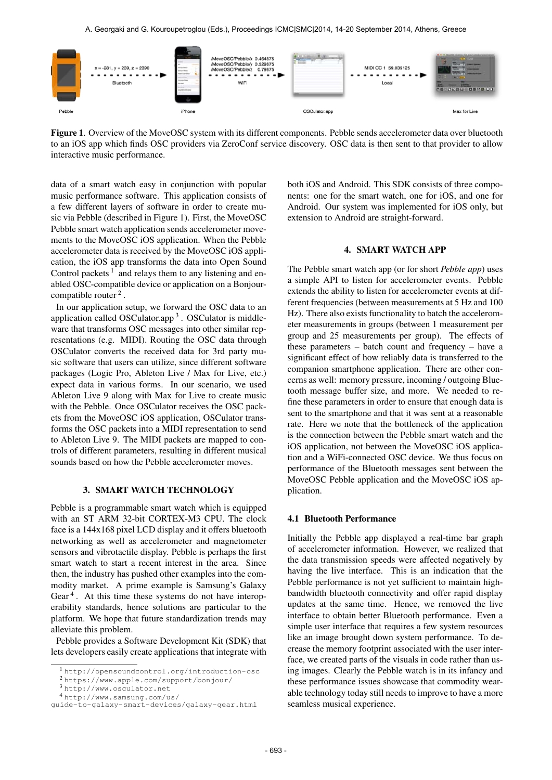A. Georgaki and G. Kouroupetroglou (Eds.), Proceedings ICMC|SMC|2014, 14-20 September 2014, Athens, Greece



Figure 1. Overview of the MoveOSC system with its different components. Pebble sends accelerometer data over bluetooth to an iOS app which finds OSC providers via ZeroConf service discovery. OSC data is then sent to that provider to allow interactive music performance.

data of a smart watch easy in conjunction with popular music performance software. This application consists of a few different layers of software in order to create music via Pebble (described in Figure 1). First, the MoveOSC Pebble smart watch application sends accelerometer movements to the MoveOSC iOS application. When the Pebble accelerometer data is received by the MoveOSC iOS application, the iOS app transforms the data into Open Sound Control packets<sup>1</sup> and relays them to any listening and enabled OSC-compatible device or application on a Bonjourcompatible router<sup>2</sup>.

In our application setup, we forward the OSC data to an application called OSCulator.app<sup>3</sup>. OSCulator is middleware that transforms OSC messages into other similar representations (e.g. MIDI). Routing the OSC data through OSCulator converts the received data for 3rd party music software that users can utilize, since different software packages (Logic Pro, Ableton Live / Max for Live, etc.) expect data in various forms. In our scenario, we used Ableton Live 9 along with Max for Live to create music with the Pebble. Once OSCulator receives the OSC packets from the MoveOSC iOS application, OSCulator transforms the OSC packets into a MIDI representation to send to Ableton Live 9. The MIDI packets are mapped to controls of different parameters, resulting in different musical sounds based on how the Pebble accelerometer moves.

# 3. SMART WATCH TECHNOLOGY

Pebble is a programmable smart watch which is equipped with an ST ARM 32-bit CORTEX-M3 CPU. The clock face is a 144x168 pixel LCD display and it offers bluetooth networking as well as accelerometer and magnetometer sensors and vibrotactile display. Pebble is perhaps the first smart watch to start a recent interest in the area. Since then, the industry has pushed other examples into the commodity market. A prime example is Samsung's Galaxy Gear<sup>4</sup>. At this time these systems do not have interoperability standards, hence solutions are particular to the platform. We hope that future standardization trends may alleviate this problem.

Pebble provides a Software Development Kit (SDK) that lets developers easily create applications that integrate with

both iOS and Android. This SDK consists of three components: one for the smart watch, one for iOS, and one for Android. Our system was implemented for iOS only, but extension to Android are straight-forward.

# 4. SMART WATCH APP

The Pebble smart watch app (or for short *Pebble app*) uses a simple API to listen for accelerometer events. Pebble extends the ability to listen for accelerometer events at different frequencies (between measurements at 5 Hz and 100 Hz). There also exists functionality to batch the accelerometer measurements in groups (between 1 measurement per group and 25 measurements per group). The effects of these parameters – batch count and frequency – have a significant effect of how reliably data is transferred to the companion smartphone application. There are other concerns as well: memory pressure, incoming / outgoing Bluetooth message buffer size, and more. We needed to refine these parameters in order to ensure that enough data is sent to the smartphone and that it was sent at a reasonable rate. Here we note that the bottleneck of the application is the connection between the Pebble smart watch and the iOS application, not between the MoveOSC iOS application and a WiFi-connected OSC device. We thus focus on performance of the Bluetooth messages sent between the MoveOSC Pebble application and the MoveOSC iOS application.

#### 4.1 Bluetooth Performance

Initially the Pebble app displayed a real-time bar graph of accelerometer information. However, we realized that the data transmission speeds were affected negatively by having the live interface. This is an indication that the Pebble performance is not yet sufficient to maintain highbandwidth bluetooth connectivity and offer rapid display updates at the same time. Hence, we removed the live interface to obtain better Bluetooth performance. Even a simple user interface that requires a few system resources like an image brought down system performance. To decrease the memory footprint associated with the user interface, we created parts of the visuals in code rather than using images. Clearly the Pebble watch is in its infancy and these performance issues showcase that commodity wearable technology today still needs to improve to have a more seamless musical experience.

<sup>1</sup> <http://opensoundcontrol.org/introduction-osc>

<sup>2</sup> <https://www.apple.com/support/bonjour/>

<sup>3</sup> <http://www.osculator.net>

<sup>4</sup> [http://www.samsung.com/us/](http://www.samsung.com/us/guide-to-galaxy-smart-devices/galaxy-gear.html)

[guide-to-galaxy-smart-devices/galaxy-gear.html](http://www.samsung.com/us/guide-to-galaxy-smart-devices/galaxy-gear.html)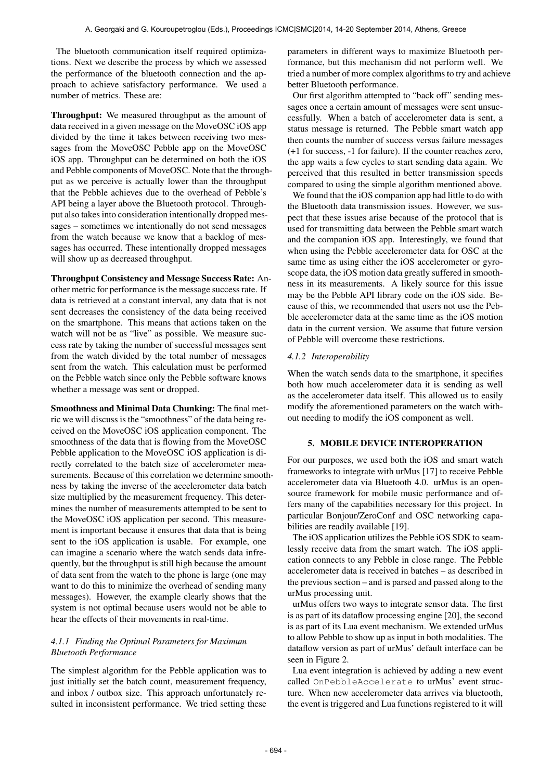The bluetooth communication itself required optimizations. Next we describe the process by which we assessed the performance of the bluetooth connection and the approach to achieve satisfactory performance. We used a number of metrics. These are:

Throughput: We measured throughput as the amount of data received in a given message on the MoveOSC iOS app divided by the time it takes between receiving two messages from the MoveOSC Pebble app on the MoveOSC iOS app. Throughput can be determined on both the iOS and Pebble components of MoveOSC. Note that the throughput as we perceive is actually lower than the throughput that the Pebble achieves due to the overhead of Pebble's API being a layer above the Bluetooth protocol. Throughput also takes into consideration intentionally dropped messages – sometimes we intentionally do not send messages from the watch because we know that a backlog of messages has occurred. These intentionally dropped messages will show up as decreased throughput.

Throughput Consistency and Message Success Rate: Another metric for performance is the message success rate. If data is retrieved at a constant interval, any data that is not sent decreases the consistency of the data being received on the smartphone. This means that actions taken on the watch will not be as "live" as possible. We measure success rate by taking the number of successful messages sent from the watch divided by the total number of messages sent from the watch. This calculation must be performed on the Pebble watch since only the Pebble software knows whether a message was sent or dropped.

Smoothness and Minimal Data Chunking: The final metric we will discuss is the "smoothness" of the data being received on the MoveOSC iOS application component. The smoothness of the data that is flowing from the MoveOSC Pebble application to the MoveOSC iOS application is directly correlated to the batch size of accelerometer measurements. Because of this correlation we determine smoothness by taking the inverse of the accelerometer data batch size multiplied by the measurement frequency. This determines the number of measurements attempted to be sent to the MoveOSC iOS application per second. This measurement is important because it ensures that data that is being sent to the iOS application is usable. For example, one can imagine a scenario where the watch sends data infrequently, but the throughput is still high because the amount of data sent from the watch to the phone is large (one may want to do this to minimize the overhead of sending many messages). However, the example clearly shows that the system is not optimal because users would not be able to hear the effects of their movements in real-time.

# *4.1.1 Finding the Optimal Parameters for Maximum Bluetooth Performance*

The simplest algorithm for the Pebble application was to just initially set the batch count, measurement frequency, and inbox / outbox size. This approach unfortunately resulted in inconsistent performance. We tried setting these parameters in different ways to maximize Bluetooth performance, but this mechanism did not perform well. We tried a number of more complex algorithms to try and achieve better Bluetooth performance.

Our first algorithm attempted to "back off" sending messages once a certain amount of messages were sent unsuccessfully. When a batch of accelerometer data is sent, a status message is returned. The Pebble smart watch app then counts the number of success versus failure messages (+1 for success, -1 for failure). If the counter reaches zero, the app waits a few cycles to start sending data again. We perceived that this resulted in better transmission speeds compared to using the simple algorithm mentioned above.

We found that the iOS companion app had little to do with the Bluetooth data transmission issues. However, we suspect that these issues arise because of the protocol that is used for transmitting data between the Pebble smart watch and the companion iOS app. Interestingly, we found that when using the Pebble accelerometer data for OSC at the same time as using either the iOS accelerometer or gyroscope data, the iOS motion data greatly suffered in smoothness in its measurements. A likely source for this issue may be the Pebble API library code on the iOS side. Because of this, we recommended that users not use the Pebble accelerometer data at the same time as the iOS motion data in the current version. We assume that future version of Pebble will overcome these restrictions.

# *4.1.2 Interoperability*

When the watch sends data to the smartphone, it specifies both how much accelerometer data it is sending as well as the accelerometer data itself. This allowed us to easily modify the aforementioned parameters on the watch without needing to modify the iOS component as well.

# 5. MOBILE DEVICE INTEROPERATION

For our purposes, we used both the iOS and smart watch frameworks to integrate with urMus [17] to receive Pebble accelerometer data via Bluetooth 4.0. urMus is an opensource framework for mobile music performance and offers many of the capabilities necessary for this project. In particular Bonjour/ZeroConf and OSC networking capabilities are readily available [19].

The iOS application utilizes the Pebble iOS SDK to seamlessly receive data from the smart watch. The iOS application connects to any Pebble in close range. The Pebble accelerometer data is received in batches – as described in the previous section – and is parsed and passed along to the urMus processing unit.

urMus offers two ways to integrate sensor data. The first is as part of its dataflow processing engine [20], the second is as part of its Lua event mechanism. We extended urMus to allow Pebble to show up as input in both modalities. The dataflow version as part of urMus' default interface can be seen in Figure 2.

Lua event integration is achieved by adding a new event called OnPebbleAccelerate to urMus' event structure. When new accelerometer data arrives via bluetooth, the event is triggered and Lua functions registered to it will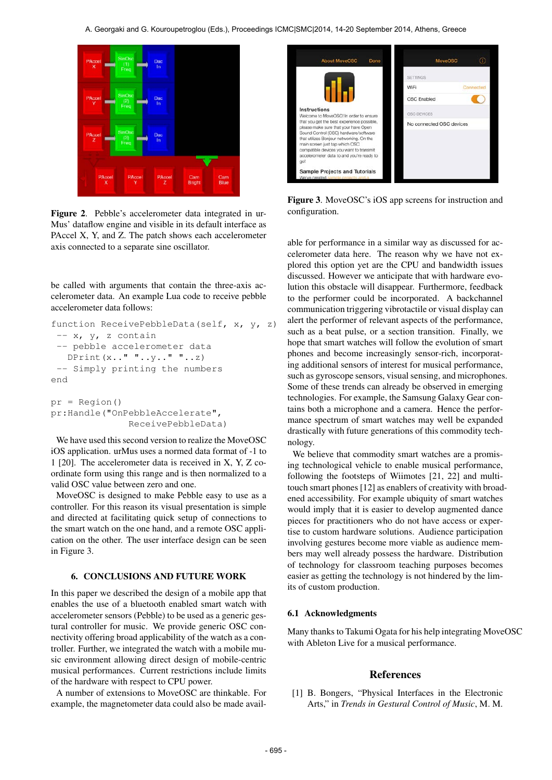

Figure 2. Pebble's accelerometer data integrated in ur-Mus' dataflow engine and visible in its default interface as PAccel X, Y, and Z. The patch shows each accelerometer axis connected to a separate sine oscillator.

be called with arguments that contain the three-axis accelerometer data. An example Lua code to receive pebble accelerometer data follows:

```
function ReceivePebbleData(self, x, y, z)
 -- x, y, z contain
 -- pebble accelerometer data
   DPrint(x_1, " " ... y_1, " " ... z)-- Simply printing the numbers
end
pr = Region()
```
pr:Handle("OnPebbleAccelerate", ReceivePebbleData)

We have used this second version to realize the MoveOSC iOS application. urMus uses a normed data format of -1 to 1 [20]. The accelerometer data is received in X, Y, Z coordinate form using this range and is then normalized to a valid OSC value between zero and one.

MoveOSC is designed to make Pebble easy to use as a controller. For this reason its visual presentation is simple and directed at facilitating quick setup of connections to the smart watch on the one hand, and a remote OSC application on the other. The user interface design can be seen in Figure 3.

# 6. CONCLUSIONS AND FUTURE WORK

In this paper we described the design of a mobile app that enables the use of a bluetooth enabled smart watch with accelerometer sensors (Pebble) to be used as a generic gestural controller for music. We provide generic OSC connectivity offering broad applicability of the watch as a controller. Further, we integrated the watch with a mobile music environment allowing direct design of mobile-centric musical performances. Current restrictions include limits of the hardware with respect to CPU power.

A number of extensions to MoveOSC are thinkable. For example, the magnetometer data could also be made avail-



Figure 3. MoveOSC's iOS app screens for instruction and configuration.

able for performance in a similar way as discussed for accelerometer data here. The reason why we have not explored this option yet are the CPU and bandwidth issues discussed. However we anticipate that with hardware evolution this obstacle will disappear. Furthermore, feedback to the performer could be incorporated. A backchannel communication triggering vibrotactile or visual display can alert the performer of relevant aspects of the performance, such as a beat pulse, or a section transition. Finally, we hope that smart watches will follow the evolution of smart phones and become increasingly sensor-rich, incorporating additional sensors of interest for musical performance, such as gyroscope sensors, visual sensing, and microphones. Some of these trends can already be observed in emerging technologies. For example, the Samsung Galaxy Gear contains both a microphone and a camera. Hence the performance spectrum of smart watches may well be expanded drastically with future generations of this commodity technology.

We believe that commodity smart watches are a promising technological vehicle to enable musical performance, following the footsteps of Wiimotes [21, 22] and multitouch smart phones [12] as enablers of creativity with broadened accessibility. For example ubiquity of smart watches would imply that it is easier to develop augmented dance pieces for practitioners who do not have access or expertise to custom hardware solutions. Audience participation involving gestures become more viable as audience members may well already possess the hardware. Distribution of technology for classroom teaching purposes becomes easier as getting the technology is not hindered by the limits of custom production.

#### 6.1 Acknowledgments

Many thanks to Takumi Ogata for his help integrating MoveOSC with Ableton Live for a musical performance.

# **References**

[1] B. Bongers, "Physical Interfaces in the Electronic Arts," in *Trends in Gestural Control of Music*, M. M.